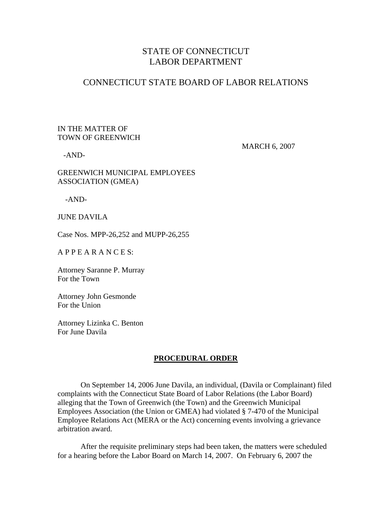## STATE OF CONNECTICUT LABOR DEPARTMENT

### CONNECTICUT STATE BOARD OF LABOR RELATIONS

#### IN THE MATTER OF TOWN OF GREENWICH

-AND-

MARCH 6, 2007

GREENWICH MUNICIPAL EMPLOYEES ASSOCIATION (GMEA)

-AND-

JUNE DAVILA

Case Nos. MPP-26,252 and MUPP-26,255

A P P E A R A N C E S:

Attorney Saranne P. Murray For the Town

Attorney John Gesmonde For the Union

Attorney Lizinka C. Benton For June Davila

#### **PROCEDURAL ORDER**

 On September 14, 2006 June Davila, an individual, (Davila or Complainant) filed complaints with the Connecticut State Board of Labor Relations (the Labor Board) alleging that the Town of Greenwich (the Town) and the Greenwich Municipal Employees Association (the Union or GMEA) had violated § 7-470 of the Municipal Employee Relations Act (MERA or the Act) concerning events involving a grievance arbitration award.

 After the requisite preliminary steps had been taken, the matters were scheduled for a hearing before the Labor Board on March 14, 2007. On February 6, 2007 the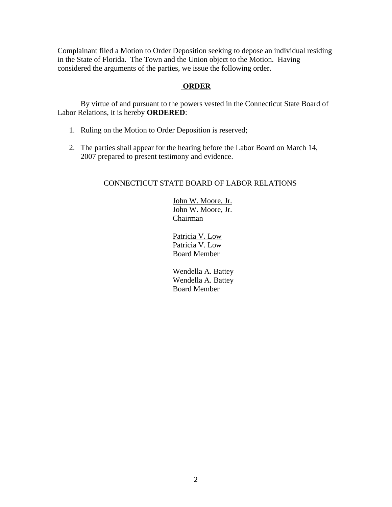Complainant filed a Motion to Order Deposition seeking to depose an individual residing in the State of Florida. The Town and the Union object to the Motion. Having considered the arguments of the parties, we issue the following order.

### **ORDER**

 By virtue of and pursuant to the powers vested in the Connecticut State Board of Labor Relations, it is hereby **ORDERED**:

- 1. Ruling on the Motion to Order Deposition is reserved;
- 2. The parties shall appear for the hearing before the Labor Board on March 14, 2007 prepared to present testimony and evidence.

### CONNECTICUT STATE BOARD OF LABOR RELATIONS

 John W. Moore, Jr. John W. Moore, Jr. Chairman

 Patricia V. Low Patricia V. Low Board Member

 Wendella A. Battey Wendella A. Battey Board Member